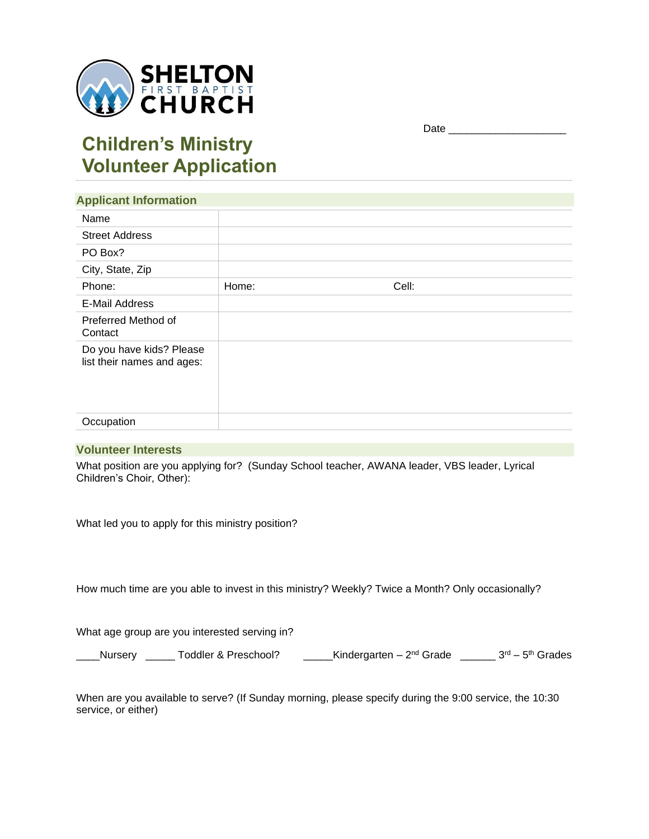

## Date \_\_\_\_\_\_\_\_\_\_\_\_\_\_\_\_\_\_\_\_

# **Children's Ministry Volunteer Application**

| <b>Applicant Information</b>                           |       |       |  |
|--------------------------------------------------------|-------|-------|--|
| Name                                                   |       |       |  |
| <b>Street Address</b>                                  |       |       |  |
| PO Box?                                                |       |       |  |
| City, State, Zip                                       |       |       |  |
| Phone:                                                 | Home: | Cell: |  |
| <b>E-Mail Address</b>                                  |       |       |  |
| Preferred Method of<br>Contact                         |       |       |  |
| Do you have kids? Please<br>list their names and ages: |       |       |  |
| Occupation                                             |       |       |  |

#### **Volunteer Interests**

What position are you applying for? (Sunday School teacher, AWANA leader, VBS leader, Lyrical Children's Choir, Other):

What led you to apply for this ministry position?

How much time are you able to invest in this ministry? Weekly? Twice a Month? Only occasionally?

What age group are you interested serving in?

\_\_\_\_Nursery \_\_\_\_\_\_ Toddler & Preschool? \_\_\_\_\_Kindergarten – 2<sup>nd</sup> Grade \_\_\_\_\_\_\_ 3<sup>rd</sup> – 5<sup>th</sup> Grades

When are you available to serve? (If Sunday morning, please specify during the 9:00 service, the 10:30 service, or either)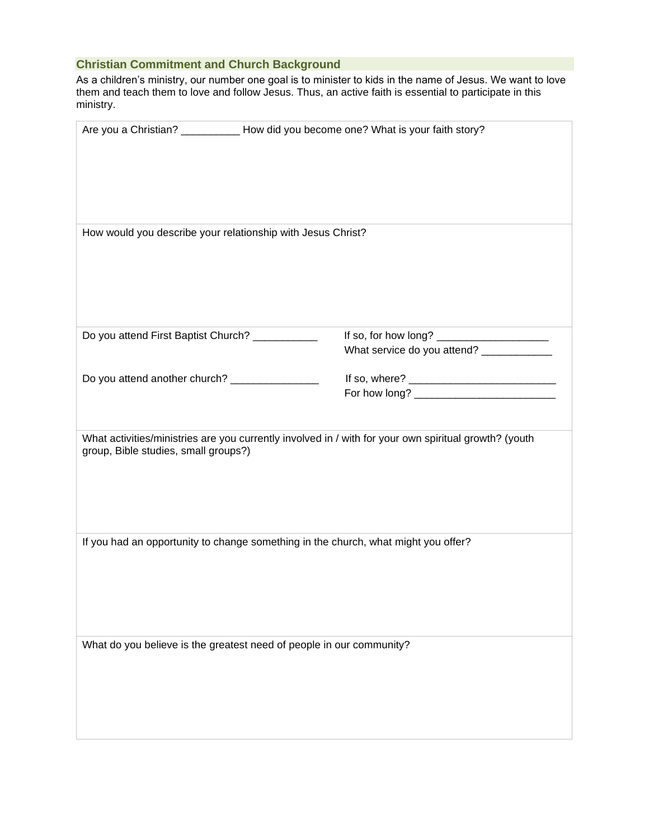# **Christian Commitment and Church Background**

As a children's ministry, our number one goal is to minister to kids in the name of Jesus. We want to love them and teach them to love and follow Jesus. Thus, an active faith is essential to participate in this ministry.

|                                                             | Are you a Christian? ___________ How did you become one? What is your faith story?                    |  |
|-------------------------------------------------------------|-------------------------------------------------------------------------------------------------------|--|
| How would you describe your relationship with Jesus Christ? |                                                                                                       |  |
|                                                             |                                                                                                       |  |
| Do you attend First Baptist Church? ___________             |                                                                                                       |  |
|                                                             | What service do you attend? _____________                                                             |  |
| Do you attend another church? ________________              |                                                                                                       |  |
|                                                             |                                                                                                       |  |
|                                                             |                                                                                                       |  |
| group, Bible studies, small groups?)                        | What activities/ministries are you currently involved in / with for your own spiritual growth? (youth |  |
|                                                             | If you had an opportunity to change something in the church, what might you offer?                    |  |
|                                                             |                                                                                                       |  |
|                                                             | What do you believe is the greatest need of people in our community?                                  |  |
|                                                             |                                                                                                       |  |
|                                                             |                                                                                                       |  |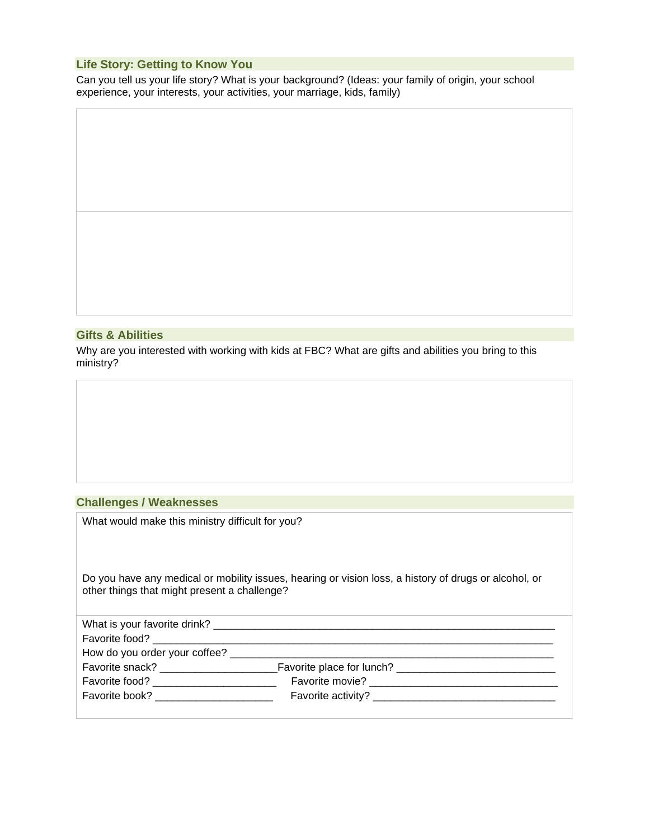# **Life Story: Getting to Know You**

Can you tell us your life story? What is your background? (Ideas: your family of origin, your school experience, your interests, your activities, your marriage, kids, family)

#### **Gifts & Abilities**

Why are you interested with working with kids at FBC? What are gifts and abilities you bring to this ministry?

## **Challenges / Weaknesses**

What would make this ministry difficult for you?

Do you have any medical or mobility issues, hearing or vision loss, a history of drugs or alcohol, or other things that might present a challenge?

| What is your favorite drink?                                                                                                                                                                                                   |                             |  |
|--------------------------------------------------------------------------------------------------------------------------------------------------------------------------------------------------------------------------------|-----------------------------|--|
|                                                                                                                                                                                                                                |                             |  |
| How do you order your coffee?                                                                                                                                                                                                  |                             |  |
| Favorite snack? ________________                                                                                                                                                                                               |                             |  |
| Favorite food? The contract of the state of the state of the state of the state of the state of the state of the state of the state of the state of the state of the state of the state of the state of the state of the state | Favorite movie?<br><u> </u> |  |
| Favorite book? The contract of the contract of the contract of the contract of the contract of the contract of the contract of the contract of the contract of the contract of the contract of the contract of the contract of |                             |  |
|                                                                                                                                                                                                                                |                             |  |